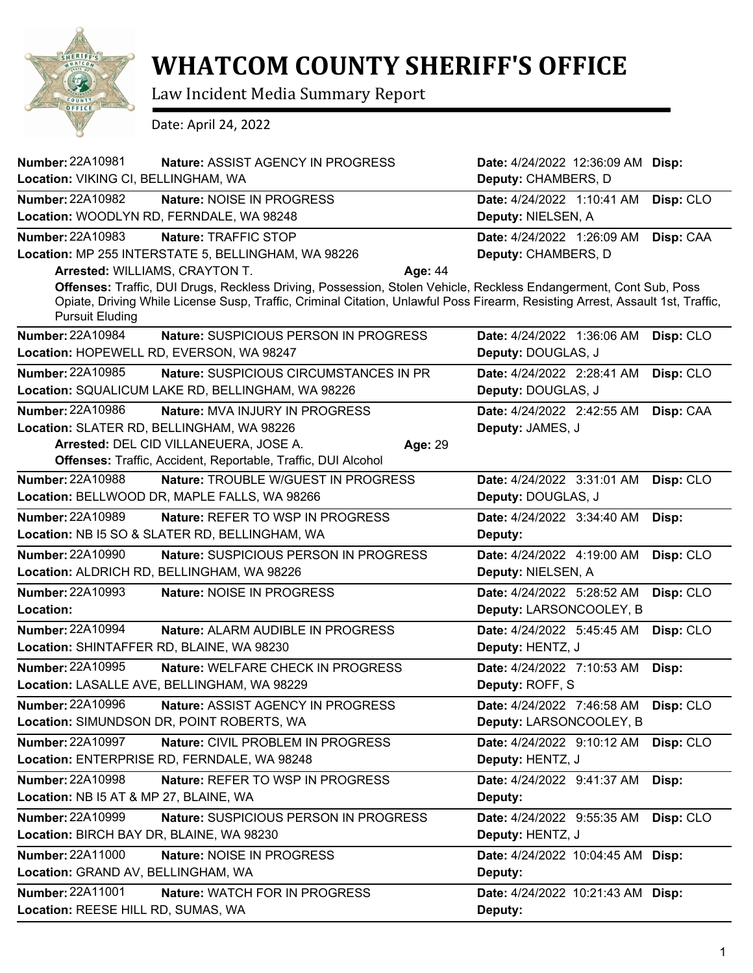

## **WHATCOM COUNTY SHERIFF'S OFFICE**

Law Incident Media Summary Report

Date: April 24, 2022

| <b>Number: 22A10981</b><br>Nature: ASSIST AGENCY IN PROGRESS       | Date: 4/24/2022 12:36:09 AM Disp:                                                                                              |
|--------------------------------------------------------------------|--------------------------------------------------------------------------------------------------------------------------------|
| Location: VIKING CI, BELLINGHAM, WA                                | Deputy: CHAMBERS, D                                                                                                            |
| <b>Number: 22A10982</b><br>Nature: NOISE IN PROGRESS               | Date: 4/24/2022 1:10:41 AM<br>Disp: CLO                                                                                        |
| Location: WOODLYN RD, FERNDALE, WA 98248                           | Deputy: NIELSEN, A                                                                                                             |
| <b>Number: 22A10983</b><br>Nature: TRAFFIC STOP                    | Date: 4/24/2022 1:26:09 AM<br>Disp: CAA                                                                                        |
| Location: MP 255 INTERSTATE 5, BELLINGHAM, WA 98226                | Deputy: CHAMBERS, D                                                                                                            |
| Arrested: WILLIAMS, CRAYTON T.                                     | Age: 44                                                                                                                        |
|                                                                    | Offenses: Traffic, DUI Drugs, Reckless Driving, Possession, Stolen Vehicle, Reckless Endangerment, Cont Sub, Poss              |
| <b>Pursuit Eluding</b>                                             | Opiate, Driving While License Susp, Traffic, Criminal Citation, Unlawful Poss Firearm, Resisting Arrest, Assault 1st, Traffic, |
| Number: 22A10984<br>Nature: SUSPICIOUS PERSON IN PROGRESS          | Disp: CLO<br>Date: 4/24/2022 1:36:06 AM                                                                                        |
| Location: HOPEWELL RD, EVERSON, WA 98247                           | Deputy: DOUGLAS, J                                                                                                             |
| Number: 22A10985<br><b>Nature: SUSPICIOUS CIRCUMSTANCES IN PR</b>  | Date: 4/24/2022 2:28:41 AM<br>Disp: CLO                                                                                        |
| Location: SQUALICUM LAKE RD, BELLINGHAM, WA 98226                  | Deputy: DOUGLAS, J                                                                                                             |
| <b>Number: 22A10986</b><br>Nature: MVA INJURY IN PROGRESS          | Date: 4/24/2022 2:42:55 AM<br>Disp: CAA                                                                                        |
| Location: SLATER RD, BELLINGHAM, WA 98226                          | Deputy: JAMES, J                                                                                                               |
| Arrested: DEL CID VILLANEUERA, JOSE A.                             | Age: 29                                                                                                                        |
| Offenses: Traffic, Accident, Reportable, Traffic, DUI Alcohol      |                                                                                                                                |
| <b>Number: 22A10988</b><br>Nature: TROUBLE W/GUEST IN PROGRESS     | Date: 4/24/2022 3:31:01 AM<br>Disp: CLO                                                                                        |
| Location: BELLWOOD DR, MAPLE FALLS, WA 98266                       | Deputy: DOUGLAS, J                                                                                                             |
| <b>Number: 22A10989</b><br><b>Nature: REFER TO WSP IN PROGRESS</b> | Date: 4/24/2022 3:34:40 AM<br>Disp:                                                                                            |
| Location: NB I5 SO & SLATER RD, BELLINGHAM, WA                     | Deputy:                                                                                                                        |
| Number: 22A10990<br>Nature: SUSPICIOUS PERSON IN PROGRESS          | Date: 4/24/2022 4:19:00 AM<br>Disp: CLO                                                                                        |
| Location: ALDRICH RD, BELLINGHAM, WA 98226                         | Deputy: NIELSEN, A                                                                                                             |
| Number: 22A10993<br>Nature: NOISE IN PROGRESS                      | Date: 4/24/2022 5:28:52 AM<br>Disp: CLO                                                                                        |
| Location:                                                          | Deputy: LARSONCOOLEY, B                                                                                                        |
| Number: 22A10994<br>Nature: ALARM AUDIBLE IN PROGRESS              | Date: 4/24/2022 5:45:45 AM<br>Disp: CLO                                                                                        |
| Location: SHINTAFFER RD, BLAINE, WA 98230                          | Deputy: HENTZ, J                                                                                                               |
| <b>Number: 22A10995</b><br>Nature: WELFARE CHECK IN PROGRESS       | Date: 4/24/2022 7:10:53 AM<br>Disp:                                                                                            |
| Location: LASALLE AVE, BELLINGHAM, WA 98229                        | Deputy: ROFF, S                                                                                                                |
| <b>Number: 22A10996</b><br>Nature: ASSIST AGENCY IN PROGRESS       | Date: 4/24/2022 7:46:58 AM Disp: CLO                                                                                           |
| Location: SIMUNDSON DR, POINT ROBERTS, WA                          | Deputy: LARSONCOOLEY, B                                                                                                        |
| <b>Number: 22A10997</b><br>Nature: CIVIL PROBLEM IN PROGRESS       | Date: 4/24/2022 9:10:12 AM<br>Disp: CLO                                                                                        |
| Location: ENTERPRISE RD, FERNDALE, WA 98248                        | Deputy: HENTZ, J                                                                                                               |
| <b>Number: 22A10998</b><br>Nature: REFER TO WSP IN PROGRESS        | Date: 4/24/2022 9:41:37 AM<br>Disp:                                                                                            |
| Location: NB I5 AT & MP 27, BLAINE, WA                             | Deputy:                                                                                                                        |
| Number: 22A10999<br>Nature: SUSPICIOUS PERSON IN PROGRESS          | Disp: CLO<br>Date: 4/24/2022 9:55:35 AM                                                                                        |
| Location: BIRCH BAY DR, BLAINE, WA 98230                           | Deputy: HENTZ, J                                                                                                               |
| <b>Number: 22A11000</b><br>Nature: NOISE IN PROGRESS               | Date: 4/24/2022 10:04:45 AM Disp:                                                                                              |
| Location: GRAND AV, BELLINGHAM, WA                                 | Deputy:                                                                                                                        |
| Number: 22A11001<br>Nature: WATCH FOR IN PROGRESS                  | Date: 4/24/2022 10:21:43 AM Disp:                                                                                              |
| Location: REESE HILL RD, SUMAS, WA                                 | Deputy:                                                                                                                        |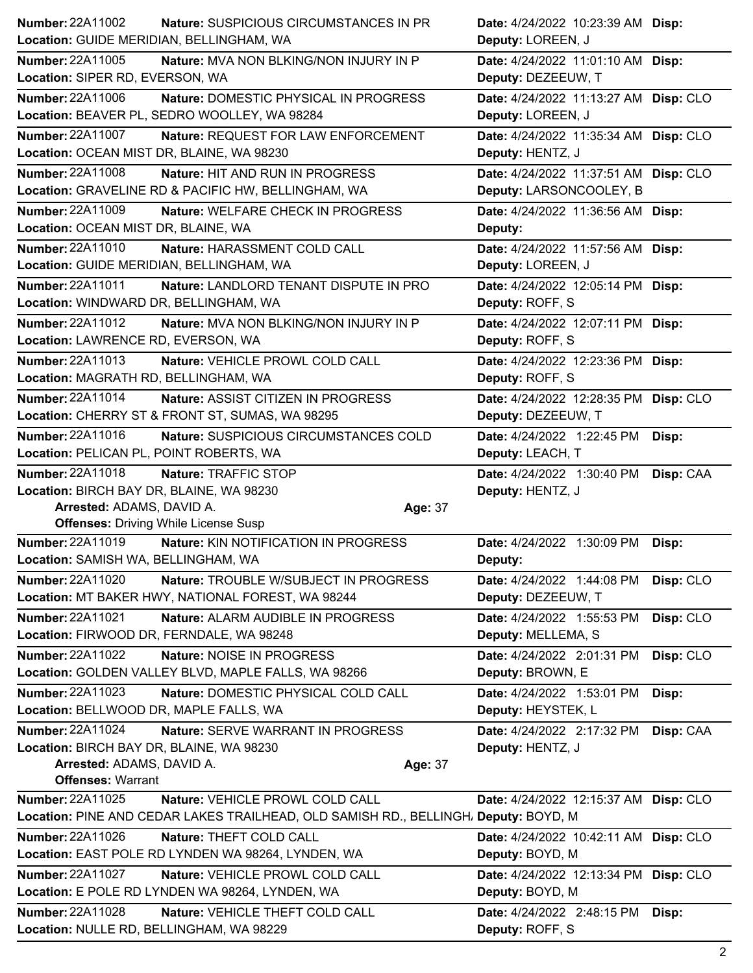| <b>Number: 22A11002</b><br>Location: GUIDE MERIDIAN, BELLINGHAM, WA   | <b>Nature: SUSPICIOUS CIRCUMSTANCES IN PR</b>                                       |         | Date: 4/24/2022 10:23:39 AM Disp:<br>Deputy: LOREEN, J |           |
|-----------------------------------------------------------------------|-------------------------------------------------------------------------------------|---------|--------------------------------------------------------|-----------|
| Number: 22A11005                                                      | Nature: MVA NON BLKING/NON INJURY IN P                                              |         | Date: 4/24/2022 11:01:10 AM Disp:                      |           |
| Location: SIPER RD, EVERSON, WA                                       |                                                                                     |         | Deputy: DEZEEUW, T                                     |           |
| Number: 22A11006                                                      | Nature: DOMESTIC PHYSICAL IN PROGRESS                                               |         | Date: 4/24/2022 11:13:27 AM Disp: CLO                  |           |
|                                                                       | Location: BEAVER PL, SEDRO WOOLLEY, WA 98284                                        |         | Deputy: LOREEN, J                                      |           |
| <b>Number: 22A11007</b>                                               | Nature: REQUEST FOR LAW ENFORCEMENT                                                 |         | Date: 4/24/2022 11:35:34 AM Disp: CLO                  |           |
| Location: OCEAN MIST DR, BLAINE, WA 98230                             |                                                                                     |         | Deputy: HENTZ, J                                       |           |
| <b>Number: 22A11008</b>                                               | Nature: HIT AND RUN IN PROGRESS                                                     |         | Date: 4/24/2022 11:37:51 AM Disp: CLO                  |           |
|                                                                       | Location: GRAVELINE RD & PACIFIC HW, BELLINGHAM, WA                                 |         | Deputy: LARSONCOOLEY, B                                |           |
| <b>Number: 22A11009</b>                                               | Nature: WELFARE CHECK IN PROGRESS                                                   |         | Date: 4/24/2022 11:36:56 AM Disp:                      |           |
| Location: OCEAN MIST DR, BLAINE, WA                                   |                                                                                     |         | Deputy:                                                |           |
| <b>Number: 22A11010</b>                                               | Nature: HARASSMENT COLD CALL                                                        |         | Date: 4/24/2022 11:57:56 AM Disp:                      |           |
| Location: GUIDE MERIDIAN, BELLINGHAM, WA                              |                                                                                     |         | Deputy: LOREEN, J                                      |           |
| Number: 22A11011                                                      | Nature: LANDLORD TENANT DISPUTE IN PRO                                              |         | Date: 4/24/2022 12:05:14 PM Disp:                      |           |
| Location: WINDWARD DR, BELLINGHAM, WA                                 |                                                                                     |         | Deputy: ROFF, S                                        |           |
| <b>Number: 22A11012</b>                                               | Nature: MVA NON BLKING/NON INJURY IN P                                              |         | Date: 4/24/2022 12:07:11 PM Disp:                      |           |
| Location: LAWRENCE RD, EVERSON, WA                                    |                                                                                     |         | Deputy: ROFF, S                                        |           |
| Number: 22A11013                                                      | Nature: VEHICLE PROWL COLD CALL                                                     |         | Date: 4/24/2022 12:23:36 PM Disp:                      |           |
| Location: MAGRATH RD, BELLINGHAM, WA                                  |                                                                                     |         | Deputy: ROFF, S                                        |           |
| <b>Number: 22A11014</b>                                               | <b>Nature: ASSIST CITIZEN IN PROGRESS</b>                                           |         | Date: 4/24/2022 12:28:35 PM Disp: CLO                  |           |
|                                                                       | Location: CHERRY ST & FRONT ST, SUMAS, WA 98295                                     |         | Deputy: DEZEEUW, T                                     |           |
| Number: 22A11016                                                      | Nature: SUSPICIOUS CIRCUMSTANCES COLD                                               |         | Date: 4/24/2022 1:22:45 PM                             | Disp:     |
| Location: PELICAN PL, POINT ROBERTS, WA                               |                                                                                     |         | Deputy: LEACH, T                                       |           |
| <b>Number: 22A11018</b>                                               | Nature: TRAFFIC STOP                                                                |         | Date: 4/24/2022 1:30:40 PM                             | Disp: CAA |
|                                                                       |                                                                                     |         |                                                        |           |
|                                                                       |                                                                                     |         |                                                        |           |
| Location: BIRCH BAY DR, BLAINE, WA 98230<br>Arrested: ADAMS, DAVID A. |                                                                                     | Age: 37 | Deputy: HENTZ, J                                       |           |
| <b>Offenses: Driving While License Susp</b>                           |                                                                                     |         |                                                        |           |
| <b>Number: 22A11019</b>                                               | Nature: KIN NOTIFICATION IN PROGRESS                                                |         | Date: 4/24/2022 1:30:09 PM                             | Disp:     |
| Location: SAMISH WA, BELLINGHAM, WA                                   |                                                                                     |         | Deputy:                                                |           |
| Number: 22A11020                                                      | Nature: TROUBLE W/SUBJECT IN PROGRESS                                               |         | Date: 4/24/2022 1:44:08 PM                             | Disp: CLO |
|                                                                       | Location: MT BAKER HWY, NATIONAL FOREST, WA 98244                                   |         | Deputy: DEZEEUW, T                                     |           |
| Number: 22A11021                                                      | Nature: ALARM AUDIBLE IN PROGRESS                                                   |         | Date: 4/24/2022 1:55:53 PM                             | Disp: CLO |
| Location: FIRWOOD DR, FERNDALE, WA 98248                              |                                                                                     |         | Deputy: MELLEMA, S                                     |           |
| Number: 22A11022                                                      | Nature: NOISE IN PROGRESS                                                           |         | Date: 4/24/2022 2:01:31 PM                             | Disp: CLO |
|                                                                       | Location: GOLDEN VALLEY BLVD, MAPLE FALLS, WA 98266                                 |         | Deputy: BROWN, E                                       |           |
| Number: 22A11023                                                      | Nature: DOMESTIC PHYSICAL COLD CALL                                                 |         | Date: 4/24/2022 1:53:01 PM                             | Disp:     |
| Location: BELLWOOD DR, MAPLE FALLS, WA                                |                                                                                     |         | Deputy: HEYSTEK, L                                     |           |
| Number: 22A11024                                                      | Nature: SERVE WARRANT IN PROGRESS                                                   |         | Date: 4/24/2022 2:17:32 PM                             | Disp: CAA |
| Location: BIRCH BAY DR, BLAINE, WA 98230                              |                                                                                     |         | Deputy: HENTZ, J                                       |           |
| Arrested: ADAMS, DAVID A.                                             |                                                                                     | Age: 37 |                                                        |           |
| <b>Offenses: Warrant</b>                                              |                                                                                     |         |                                                        |           |
| Number: 22A11025                                                      | Nature: VEHICLE PROWL COLD CALL                                                     |         | Date: 4/24/2022 12:15:37 AM Disp: CLO                  |           |
|                                                                       | Location: PINE AND CEDAR LAKES TRAILHEAD, OLD SAMISH RD., BELLINGH, Deputy: BOYD, M |         |                                                        |           |
| Number: 22A11026                                                      | Nature: THEFT COLD CALL                                                             |         | Date: 4/24/2022 10:42:11 AM Disp: CLO                  |           |
|                                                                       | Location: EAST POLE RD LYNDEN WA 98264, LYNDEN, WA                                  |         | Deputy: BOYD, M                                        |           |
| Number: 22A11027                                                      | Nature: VEHICLE PROWL COLD CALL                                                     |         | Date: 4/24/2022 12:13:34 PM Disp: CLO                  |           |
|                                                                       | Location: E POLE RD LYNDEN WA 98264, LYNDEN, WA                                     |         | Deputy: BOYD, M                                        |           |
| Number: 22A11028<br>Location: NULLE RD, BELLINGHAM, WA 98229          | Nature: VEHICLE THEFT COLD CALL                                                     |         | Date: 4/24/2022 2:48:15 PM Disp:<br>Deputy: ROFF, S    |           |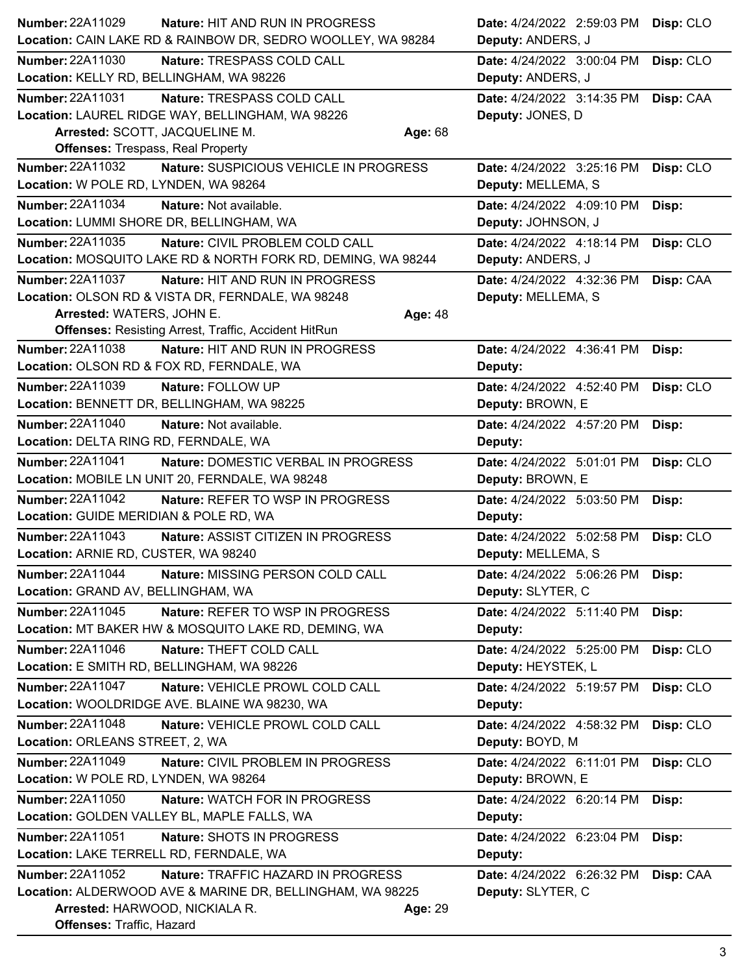| <b>Number: 22A11029</b>                    | Nature: HIT AND RUN IN PROGRESS                                                          |         | Date: 4/24/2022 2:59:03 PM                      | Disp: CLO |
|--------------------------------------------|------------------------------------------------------------------------------------------|---------|-------------------------------------------------|-----------|
|                                            | Location: CAIN LAKE RD & RAINBOW DR, SEDRO WOOLLEY, WA 98284                             |         | Deputy: ANDERS, J                               |           |
| Number: 22A11030                           | Nature: TRESPASS COLD CALL                                                               |         | Date: 4/24/2022 3:00:04 PM                      | Disp: CLO |
| Location: KELLY RD, BELLINGHAM, WA 98226   |                                                                                          |         | Deputy: ANDERS, J                               |           |
| <b>Number: 22A11031</b>                    | Nature: TRESPASS COLD CALL                                                               |         | Date: 4/24/2022 3:14:35 PM                      | Disp: CAA |
|                                            | Location: LAUREL RIDGE WAY, BELLINGHAM, WA 98226                                         |         | Deputy: JONES, D                                |           |
| Arrested: SCOTT, JACQUELINE M.             |                                                                                          | Age: 68 |                                                 |           |
| <b>Offenses: Trespass, Real Property</b>   |                                                                                          |         |                                                 |           |
| Number: 22A11032                           | Nature: SUSPICIOUS VEHICLE IN PROGRESS                                                   |         | Date: 4/24/2022 3:25:16 PM                      | Disp: CLO |
| Location: W POLE RD, LYNDEN, WA 98264      |                                                                                          |         | Deputy: MELLEMA, S                              |           |
| <b>Number: 22A11034</b>                    | Nature: Not available.                                                                   |         | Date: 4/24/2022 4:09:10 PM                      | Disp:     |
| Location: LUMMI SHORE DR, BELLINGHAM, WA   |                                                                                          |         | Deputy: JOHNSON, J                              |           |
| Number: 22A11035                           | Nature: CIVIL PROBLEM COLD CALL                                                          |         | Date: 4/24/2022 4:18:14 PM                      | Disp: CLO |
|                                            | Location: MOSQUITO LAKE RD & NORTH FORK RD, DEMING, WA 98244                             |         | Deputy: ANDERS, J                               |           |
| Number: 22A11037                           | Nature: HIT AND RUN IN PROGRESS                                                          |         | Date: 4/24/2022 4:32:36 PM                      | Disp: CAA |
|                                            | Location: OLSON RD & VISTA DR, FERNDALE, WA 98248                                        |         | Deputy: MELLEMA, S                              |           |
| Arrested: WATERS, JOHN E.                  |                                                                                          | Age: 48 |                                                 |           |
|                                            | <b>Offenses: Resisting Arrest, Traffic, Accident HitRun</b>                              |         |                                                 |           |
| Number: 22A11038                           | Nature: HIT AND RUN IN PROGRESS                                                          |         | Date: 4/24/2022 4:36:41 PM                      | Disp:     |
|                                            | Location: OLSON RD & FOX RD, FERNDALE, WA                                                |         | Deputy:                                         |           |
| <b>Number: 22A11039</b>                    | Nature: FOLLOW UP                                                                        |         | Date: 4/24/2022 4:52:40 PM                      | Disp: CLO |
|                                            | Location: BENNETT DR, BELLINGHAM, WA 98225                                               |         | Deputy: BROWN, E                                |           |
| <b>Number: 22A11040</b>                    | Nature: Not available.                                                                   |         | Date: 4/24/2022 4:57:20 PM                      | Disp:     |
| Location: DELTA RING RD, FERNDALE, WA      |                                                                                          |         | Deputy:                                         |           |
| <b>Number: 22A11041</b>                    | Nature: DOMESTIC VERBAL IN PROGRESS                                                      |         | Date: 4/24/2022 5:01:01 PM                      | Disp: CLO |
|                                            | Location: MOBILE LN UNIT 20, FERNDALE, WA 98248                                          |         | Deputy: BROWN, E                                |           |
| <b>Number: 22A11042</b>                    | Nature: REFER TO WSP IN PROGRESS                                                         |         | Date: 4/24/2022 5:03:50 PM                      | Disp:     |
| Location: GUIDE MERIDIAN & POLE RD, WA     |                                                                                          |         | Deputy:                                         |           |
| <b>Number: 22A11043</b>                    | Nature: ASSIST CITIZEN IN PROGRESS                                                       |         | Date: 4/24/2022 5:02:58 PM                      | Disp: CLO |
| Location: ARNIE RD, CUSTER, WA 98240       |                                                                                          |         | Deputy: MELLEMA, S                              |           |
| Number: 22A11044                           | Nature: MISSING PERSON COLD CALL                                                         |         |                                                 |           |
| Location: GRAND AV, BELLINGHAM, WA         |                                                                                          |         | Date: 4/24/2022 5:06:26 PM<br>Deputy: SLYTER, C | Disp:     |
|                                            |                                                                                          |         |                                                 |           |
| Number: 22A11045                           | Nature: REFER TO WSP IN PROGRESS<br>Location: MT BAKER HW & MOSQUITO LAKE RD, DEMING, WA |         | Date: 4/24/2022 5:11:40 PM                      | Disp:     |
|                                            |                                                                                          |         | Deputy:                                         |           |
| Number: 22A11046                           | Nature: THEFT COLD CALL                                                                  |         | Date: 4/24/2022 5:25:00 PM                      | Disp: CLO |
| Location: E SMITH RD, BELLINGHAM, WA 98226 |                                                                                          |         | Deputy: HEYSTEK, L                              |           |
| <b>Number: 22A11047</b>                    | Nature: VEHICLE PROWL COLD CALL                                                          |         | Date: 4/24/2022 5:19:57 PM                      | Disp: CLO |
|                                            | Location: WOOLDRIDGE AVE. BLAINE WA 98230, WA                                            |         | Deputy:                                         |           |
| Number: 22A11048                           | Nature: VEHICLE PROWL COLD CALL                                                          |         | Date: 4/24/2022 4:58:32 PM                      | Disp: CLO |
| Location: ORLEANS STREET, 2, WA            |                                                                                          |         | Deputy: BOYD, M                                 |           |
| <b>Number: 22A11049</b>                    | Nature: CIVIL PROBLEM IN PROGRESS                                                        |         | Date: 4/24/2022 6:11:01 PM                      | Disp: CLO |
| Location: W POLE RD, LYNDEN, WA 98264      |                                                                                          |         | Deputy: BROWN, E                                |           |
| Number: 22A11050                           | Nature: WATCH FOR IN PROGRESS                                                            |         | Date: 4/24/2022 6:20:14 PM                      | Disp:     |
|                                            | Location: GOLDEN VALLEY BL, MAPLE FALLS, WA                                              |         | Deputy:                                         |           |
| Number: 22A11051                           | Nature: SHOTS IN PROGRESS                                                                |         | Date: 4/24/2022 6:23:04 PM                      | Disp:     |
| Location: LAKE TERRELL RD, FERNDALE, WA    |                                                                                          |         | Deputy:                                         |           |
| Number: 22A11052                           | Nature: TRAFFIC HAZARD IN PROGRESS                                                       |         | Date: 4/24/2022 6:26:32 PM                      | Disp: CAA |
|                                            | Location: ALDERWOOD AVE & MARINE DR, BELLINGHAM, WA 98225                                |         | Deputy: SLYTER, C                               |           |
| Arrested: HARWOOD, NICKIALA R.             |                                                                                          | Age: 29 |                                                 |           |
| Offenses: Traffic, Hazard                  |                                                                                          |         |                                                 |           |